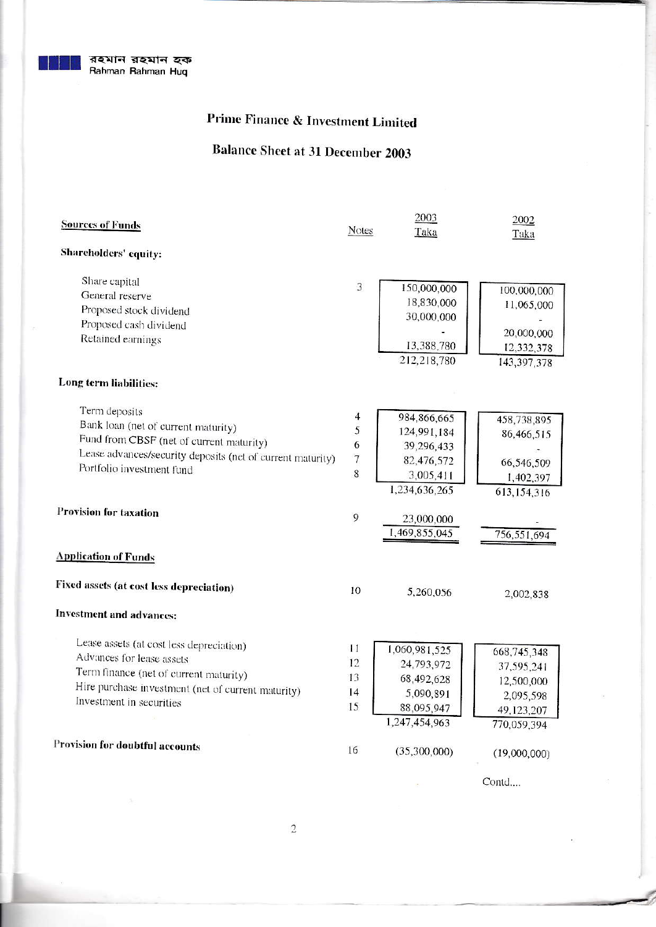

# **Prime Finance & Investment Limited**

# **Balance Sheet at 31 December 2003**

| <b>Sources of Funds</b>                                    |              | 2003<br>Taka               | 2002<br>Taka  |  |
|------------------------------------------------------------|--------------|----------------------------|---------------|--|
| Shareholders' equity:                                      | <b>Notes</b> |                            |               |  |
| Share capital                                              |              |                            |               |  |
| General reserve                                            | 3            | 150,000,000                | 100,000,000   |  |
| Proposed stock dividend                                    |              | 18,830,000                 | 11,065,000    |  |
| Proposed cash dividend                                     |              | 30,000,000                 |               |  |
| Retained earnings                                          |              |                            | 20,000,000    |  |
|                                                            |              | 13,388,780                 | 12,332,378    |  |
|                                                            |              | 212,218,780                | 143,397,378   |  |
| Long term liabilities:                                     |              |                            |               |  |
|                                                            |              |                            |               |  |
| Term deposits                                              | 4            |                            |               |  |
| Bank loan (net of current maturity)                        | 5            | 984,866,665<br>124,991,184 | 458,738,895   |  |
| Fund from CBSF (net of current maturity)                   | 6            | 39,296,433                 | 86,466,515    |  |
| Lease advances/security deposits (net of current maturity) | $\sqrt{ }$   | 82,476,572                 |               |  |
| Portfolio investment fund                                  | 8            | 3,005,411                  | 66,546,509    |  |
|                                                            |              | 1,234,636,265              | 1,402,397     |  |
|                                                            |              |                            | 613, 154, 316 |  |
| <b>Provision for taxation</b>                              | 9            | 23,000,000                 |               |  |
|                                                            |              | 1,469,855,045              | 756,551,694   |  |
|                                                            |              |                            |               |  |
| <b>Application of Funds</b>                                |              |                            |               |  |
| Fixed assets (at cost less depreciation)                   | 10           | 5,260,056                  | 2,002,838     |  |
| <b>Investment and advances:</b>                            |              |                            |               |  |
|                                                            |              |                            |               |  |
| Lease assets (at cost less depreciation)                   | 11           | 1,060,981,525              |               |  |
| Advances for lease assets                                  | 12           |                            | 668,745,348   |  |
| Term finance (net of current maturity)                     | 13           | 24,793,972                 | 37,595,241    |  |
| Hire purchase investment (net of current maturity)         | 14           | 68,492,628                 | 12,500,000    |  |
| Investment in securities                                   | 15           | 5,090,891                  | 2,095,598     |  |
|                                                            |              | 88,095,947                 | 49,123,207    |  |
|                                                            |              | 1,247,454,963              | 770,059,394   |  |
| Provision for doubtful accounts                            | 16           | (35,300,000)               |               |  |
|                                                            |              |                            | (19,000,000)  |  |
|                                                            |              |                            |               |  |

Contd....

 $\sim$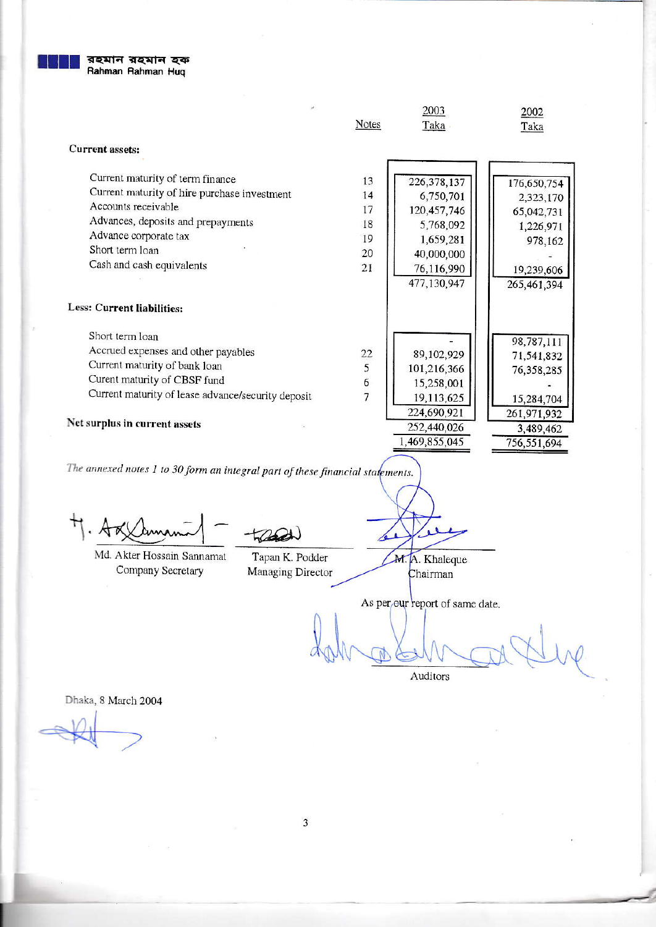

|                                        |                                                                                                                | Taka                                                                                            |
|----------------------------------------|----------------------------------------------------------------------------------------------------------------|-------------------------------------------------------------------------------------------------|
|                                        |                                                                                                                |                                                                                                 |
| 13<br>14<br>17<br>18<br>19<br>20<br>21 | 226, 378, 137<br>6,750,701<br>120,457,746<br>5,768,092<br>1,659,281<br>40,000,000<br>76,116,990<br>477,130,947 | 176,650,754<br>2,323,170<br>65,042,731<br>1,226,971<br>978,162<br>19,239,606<br>265,461,394     |
|                                        |                                                                                                                |                                                                                                 |
| $\frac{22}{5}$<br>6<br>$\overline{7}$  | 89,102,929<br>101,216,366<br>15,258,001<br>19,113,625<br>224,690,921<br>252,440,026                            | 98,787,111<br>71,541,832<br>76,358,285<br>15,284,704<br>261,971,932<br>3,489,462<br>756,551,694 |
|                                        |                                                                                                                | 1,469,855,045                                                                                   |

The annexed notes 1 to 30 form an integral part of these financial statements.

thead

Md. Akter Hossain Sannamat Company Secretary

Tapan K. Podder Managing Director

M. A. Khaleque

Chairman

756,551,694

As per our report of same date.

Auditors

Dhaka, 8 March 2004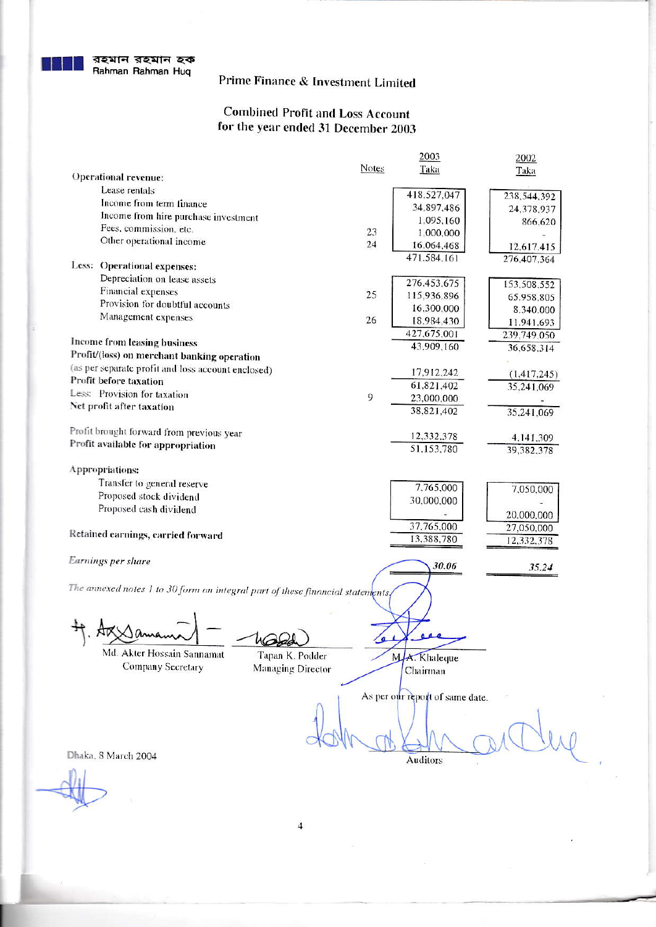## Prime Finance & Investment Limited

#### **Combined Profit and Loss Account** for the year ended 31 December 2003

|                                                                                |                   | 2003                            | 2002          |
|--------------------------------------------------------------------------------|-------------------|---------------------------------|---------------|
|                                                                                | <b>Notes</b>      | Taka                            | Taka          |
| <b>Operational revenue:</b>                                                    |                   |                                 |               |
| Lease rentals                                                                  |                   | 418,527,047                     | 238,544,392   |
| Income from term finance                                                       |                   | 34,897.486                      | 24,378,937    |
| Income from hire purchase investment                                           |                   | 1,095,160                       | 866,620       |
| Fees, commission, etc.                                                         | 23                | 1,000,000                       |               |
| Other operational income                                                       | 24                | 16,064,468                      | 12,617.415    |
|                                                                                |                   | 471.584,161                     | 276,407,364   |
| Less: Operational expenses:                                                    |                   |                                 |               |
| Depreciation on lease assets                                                   |                   | 276,453,675                     | 153,508,552   |
| <b>Financial expenses</b>                                                      | 25                | 115,936,896                     | 65,958,805    |
| Provision for doubtful accounts                                                |                   | 16,300,000                      | 8,340,000     |
| Management expenses                                                            | 26                | 18,984,430                      | 11.941,693    |
|                                                                                |                   | 427,675,001                     | 239,749.050   |
| <b>Income from leasing business</b>                                            |                   | 43,909,160                      | 36,658,314    |
| Profit/(loss) on merchant banking operation                                    |                   |                                 |               |
| (as per separate profit and loss account enclosed)                             |                   | 17,912,242                      |               |
| Profit before taxation                                                         |                   | 61,821,402                      | (1, 417, 245) |
| Less: Provision for taxation                                                   | 9                 |                                 | 35,241,069    |
| Net profit after taxation                                                      |                   | 23,000,000                      |               |
|                                                                                |                   | 38,821,402                      | 35,241,069    |
| Profit brought forward from previous year                                      |                   |                                 |               |
| Profit available for appropriation                                             |                   | 12,332,378                      | 4,141,309     |
|                                                                                |                   | 51,153,780                      | 39,382.378    |
| Appropriations:                                                                |                   |                                 |               |
| Transfer to general reserve                                                    |                   |                                 |               |
| Proposed stock dividend                                                        |                   | 7,765,000                       | 7,050,000     |
|                                                                                |                   | 30,000,000                      |               |
| Proposed cash dividend                                                         |                   |                                 | 20,000,000    |
|                                                                                |                   | 37,765,000                      | 27,050,000    |
| Retained earnings, carried forward                                             |                   | 13,388,780                      | 12,332.378    |
|                                                                                |                   |                                 |               |
| Earnings per share                                                             |                   | 30.06                           | 35.24         |
|                                                                                |                   |                                 |               |
| The annexed notes 1 to 30 form an integral part of these financial statements, |                   |                                 |               |
|                                                                                |                   |                                 |               |
|                                                                                |                   |                                 |               |
|                                                                                |                   |                                 |               |
|                                                                                |                   |                                 |               |
| Md. Akter Hossain Sannamat                                                     | Tapan K. Podder   | MA. Khaleque                    |               |
| Company Secretary                                                              | Managing Director |                                 |               |
|                                                                                |                   | Chairman                        |               |
|                                                                                |                   |                                 |               |
|                                                                                |                   | As per our report of same date. |               |
|                                                                                |                   |                                 |               |
|                                                                                |                   |                                 |               |
|                                                                                |                   |                                 |               |
| Dhaka, 8 March 2004                                                            |                   |                                 |               |
|                                                                                |                   | Auditors                        |               |
|                                                                                |                   |                                 |               |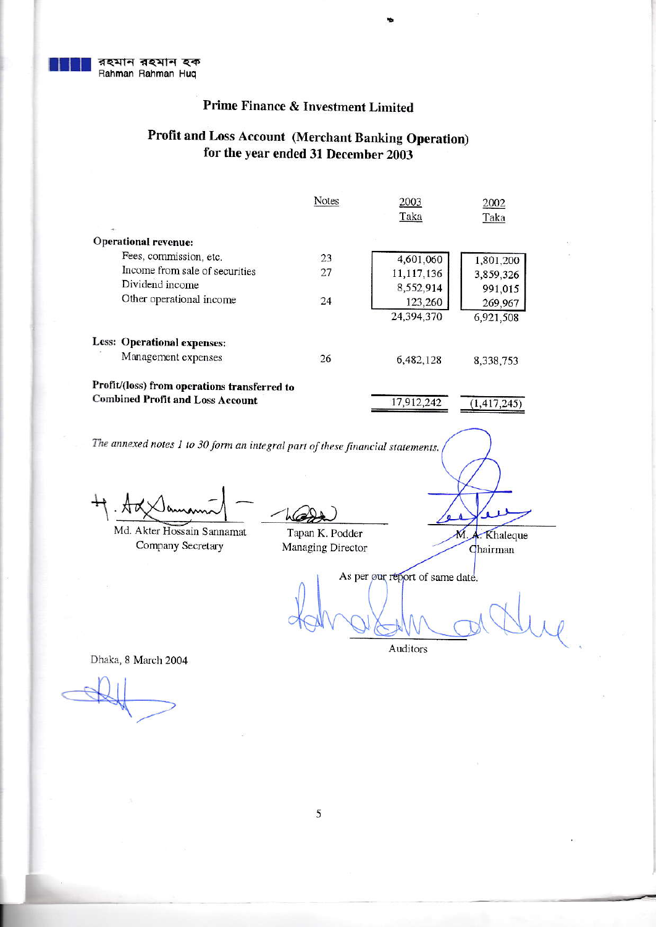

## **Prime Finance & Investment Limited**

#### Profit and Loss Account (Merchant Banking Operation) for the year ended 31 December 2003

|                                              | Notes | 2003<br>Taka | 2002<br>Taka  |
|----------------------------------------------|-------|--------------|---------------|
| <b>Operational revenue:</b>                  |       |              |               |
| Fees, commission, etc.                       | 23    | 4,601,060    | 1,801,200     |
| Income from sale of securities               | 27    | 11,117,136   | 3,859,326     |
| Dividend income                              |       | 8,552,914    | 991,015       |
| Other operational income                     | 24    | 123,260      | 269,967       |
|                                              |       | 24,394,370   | 6,921,508     |
| <b>Less: Operational expenses:</b>           |       |              |               |
| Management expenses                          | 26    | 6,482,128    | 8,338,753     |
| Profit/(loss) from operations transferred to |       |              |               |
| <b>Combined Profit and Loss Account</b>      |       | 17,912,242   | (1, 417, 245) |

The annexed notes 1 to 30 form an integral part of these financial statements.

Md. Akter Hossain Sannamat Company Secretary

Tapan K. Podder Managing Director

M. A. Khaleque

Chairman

As per our report of same date.

Auditors

Dhaka, 8 March 2004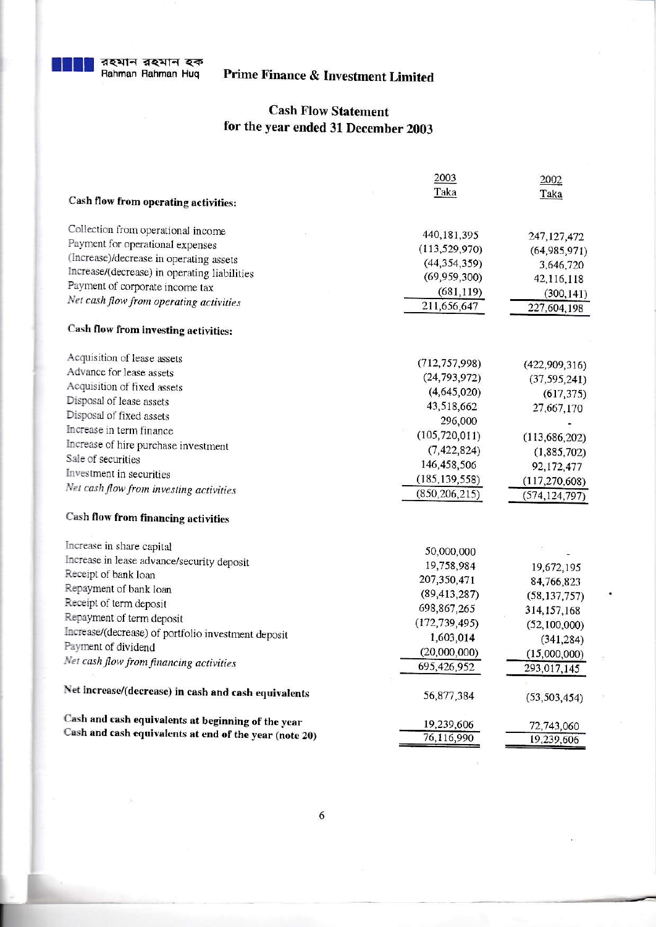## **Prime Finance & Investment Limited**

### **Cash Flow Statement** for the year ended 31 December 2003

|                                                        | 2003            | 2002                               |
|--------------------------------------------------------|-----------------|------------------------------------|
|                                                        | Taka            | Taka                               |
| Cash flow from operating activities:                   |                 |                                    |
| Collection from operational income                     |                 |                                    |
| Payment for operational expenses                       | 440, 181, 395   | 247, 127, 472                      |
| (Increase)/decrease in operating assets                | (113, 529, 970) | (64, 985, 971)                     |
| Increase/(decrease) in operating liabilities           | (44, 354, 359)  | 3,646,720                          |
| Payment of corporate income tax                        | (69, 959, 300)  | 42,116,118                         |
| Net cash flow from operating activities                | (681, 119)      | (300, 141)                         |
|                                                        | 211,656,647     | 227,604,198                        |
| Cash flow from investing activities:                   |                 |                                    |
| Acquisition of lease assets                            | (712, 757, 998) | (422,909,316)                      |
| Advance for lease assets                               | (24, 793, 972)  | (37, 595, 241)                     |
| Acquisition of fixed assets                            | (4,645,020)     | (617, 375)                         |
| Disposal of lease assets                               | 43,518,662      | 27,667,170                         |
| Disposal of fixed assets                               | 296,000         |                                    |
| Increase in term finance                               | (105, 720, 011) | (113, 686, 202)                    |
| Increase of hire purchase investment                   | (7, 422, 824)   |                                    |
| Sale of securities                                     | 146,458,506     | (1,885,702)                        |
| Investment in securities                               | (185, 139, 558) | 92,172,477                         |
| Net cash flow from investing activities                | (850, 206, 215) | (117, 270, 608)<br>(574, 124, 797) |
|                                                        |                 |                                    |
| <b>Cash flow from financing activities</b>             |                 |                                    |
| Increase in share capital                              | 50,000,000      |                                    |
| Increase in lease advance/security deposit             | 19,758,984      |                                    |
| Receipt of bank loan                                   | 207,350,471     | 19,672,195                         |
| Repayment of bank loan                                 | (89, 413, 287)  | 84,766,823                         |
| Receipt of term deposit                                | 698,867,265     | (58, 137, 757)                     |
| Repayment of term deposit                              | (172, 739, 495) | 314, 157, 168                      |
| Increase/(decrease) of portfolio investment deposit    | 1,603,014       | (52, 100, 000)                     |
| Payment of dividend                                    |                 | (341, 284)                         |
| Net cash flow from financing activities                | (20,000,000)    | (15,000,000)                       |
|                                                        | 695,426,952     | 293,017,145                        |
| Net increase/(decrease) in cash and cash equivalents   | 56,877,384      | (53, 503, 454)                     |
| Cash and cash equivalents at beginning of the year     | 19,239,606      | 72,743,060                         |
| Cash and cash equivalents at end of the year (note 20) | 76,116,990      | 19,239,606                         |
|                                                        |                 |                                    |